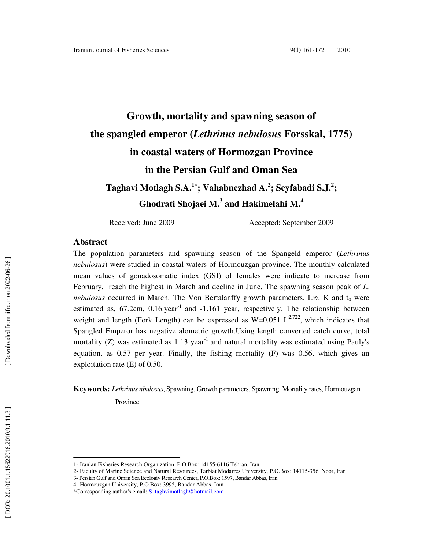# **Growth, mortality and spawning season of the spangled emperor (***Lethrinus nebulosus* **Forsskal, 1775) in coastal waters of Hormozgan Province in the Persian Gulf and Oman Sea Taghavi Motlagh S.A. <sup>1</sup>**<sup>∗</sup>**; Vahabnezhad A. 2 ; Seyfabadi S.J. 2 ; Ghodrati Shojaei M. 3 and Hakimelahi M. 4**

Received: June 2009 Accepted: September 2009

### **Abstract**

The population parameters and spawning season of the Spangeld emperor (*Lethrinus nebulosus*) were studied in coastal waters of Hormouzgan province. The monthly calculated mean values of gonadosomatic index (GSI) of females were indicate to increase from February, reach the highest in March and decline in June. The spawning season peak of *L.*  nebulosus occurred in March. The Von Bertalanffy growth parameters, L∞, K and t<sub>0</sub> were estimated as,  $67.2$ cm,  $0.16$ .year<sup>-1</sup> and  $-1.161$  year, respectively. The relationship between weight and length (Fork Length) can be expressed as  $W=0.051 \text{ L}^{2.722}$ , which indicates that Spangled Emperor has negative alometric growth.Using length converted catch curve, total mortality (Z) was estimated as 1.13 year<sup>-1</sup> and natural mortality was estimated using Pauly's equation, as 0.57 per year. Finally, the fishing mortality (F) was 0.56, which gives an exploitation rate (E) of 0.50.

**Keywords:** *Lethrinus nbulosus*, Spawning, Growth parameters, Spawning, Mortality rates, Hormouzgan Province

<sup>1-</sup> Iranian Fisheries Research Organization, P.O.Box: 14155-6116 Tehran, Iran

<sup>2-</sup> Faculty of Marine Science and Natural Resources, Tarbiat Modarres University, P.O.Box: 14115-356 Noor, Iran

<sup>3-</sup> Persian Gulf and Oman Sea Ecologiy Research Center, P.O.Box: 1597, Bandar Abbas, Iran

<sup>4-</sup> Hormouzgan University, P.O.Box: 3995, Bandar Abbas, Iran

<sup>\*</sup>Corresponding author's email: S\_taghvimotlagh@hotmail.com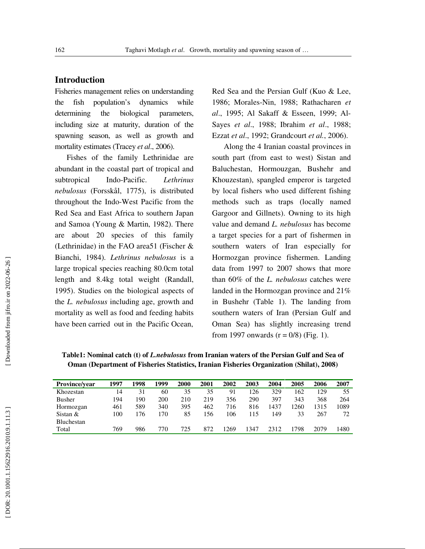## **Introduction**

Fisheries management relies on understanding the fish population's dynamics while determining the biological parameters, including size at maturity, duration of the spawning season, as well as growth and mortality estimates (Tracey *et al*., 2006).

 Fishes of the family Lethrinidae are abundant in the coastal part of tropical and subtropical Indo-Pacific. *Lethrinus nebulosus* (Forsskål, 1775), is distributed throughout the Indo-West Pacific from the Red Sea and East Africa to southern Japan and Samoa (Young & Martin, 1982). There are about 20 species of this family (Lethrinidae) in the FAO area51 (Fischer & Bianchi, 1984). *Lethrinus nebulosus* is a large tropical species reaching 80.0cm total length and 8.4kg total weight (Randall, 1995). Studies on the biological aspects of the *L. nebulosus* including age, growth and mortality as well as food and feeding habits have been carried out in the Pacific Ocean,

Red Sea and the Persian Gulf (Kuo & Lee, 1986; Morales-Nin, 1988; Rathacharen *et al*., 1995; Al Sakaff & Esseen, 1999; Al-Sayes *et al*., 1988; Ibrahim *et al*., 1988; Ezzat *et al*., 1992; Grandcourt *et al.*, 2006).

 Along the 4 Iranian coastal provinces in south part (from east to west) Sistan and Baluchestan, Hormouzgan, Bushehr and Khouzestan), spangled emperor is targeted by local fishers who used different fishing methods such as traps (locally named Gargoor and Gillnets). Owning to its high value and demand *L. nebulosus* has become a target species for a part of fishermen in southern waters of Iran especially for Hormozgan province fishermen. Landing data from 1997 to 2007 shows that more than 60% of the *L. nebulosus* catches were landed in the Hormozgan province and 21% in Bushehr (Table 1). The landing from southern waters of Iran (Persian Gulf and Oman Sea) has slightly increasing trend from 1997 onwards  $(r = 0/8)$  (Fig. 1).

| Table1: Nominal catch (t) of <i>L.nebulosus</i> from Iranian waters of the Persian Gulf and Sea of |
|----------------------------------------------------------------------------------------------------|
| Oman (Department of Fisheries Statistics, Iranian Fisheries Organization (Shilat), 2008)           |

| Province/vear     | 1997 | 1998 | 1999 | 2000 | <b>2001</b> | 2002 | 2003 | 2004 | 2005 | 2006 | 2007 |
|-------------------|------|------|------|------|-------------|------|------|------|------|------|------|
| Khozestan         | 14   | 31   | 60   | 35   | 35          | 91   | 126  | 329  | 162  | 129  | 55   |
| <b>Busher</b>     | 194  | 190  | 200  | 210  | 219         | 356  | 290  | 397  | 343  | 368  | 264  |
| Hormozgan         | 461  | 589  | 340  | 395  | 462         | 716  | 816  | 1437 | 1260 | 1315 | 1089 |
| Sistan $&$        | 100  | 176  | .70  | 85   | 156         | 106  | 115  | 149  | 33   | 267  | 72   |
| <b>Bluchestan</b> |      |      |      |      |             |      |      |      |      |      |      |
| Total             | 769  | 986  | 770  | 725  | 872         | 1269 | .347 | 2312 | 1798 | 2079 | 1480 |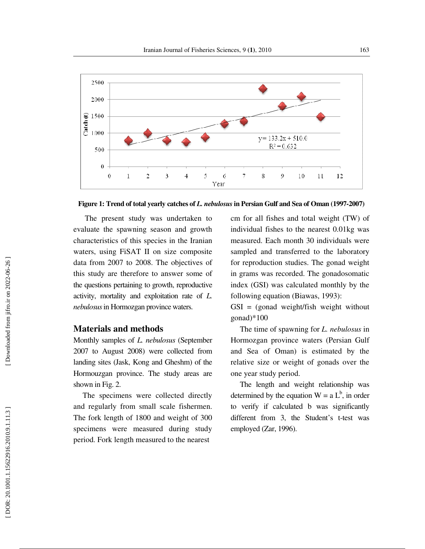

**Figure 1: Trend of total yearly catches of** *L. nebulosus* **in Persian Gulf and Sea of Oman (1997-2007)** 

 The present study was undertaken to evaluate the spawning season and growth characteristics of this species in the Iranian waters, using FiSAT II on size composite data from 2007 to 2008. The objectives of this study are therefore to answer some of the questions pertaining to growth, reproductive activity, mortality and exploitation rate of *L. nebulosus* in Hormozgan province waters.

## **Materials and methods**

Monthly samples of *L. nebulosus* (September 2007 to August 2008) were collected from landing sites (Jask, Kong and Gheshm) of the Hormouzgan province. The study areas are shown in Fig. 2.

The specimens were collected directly and regularly from small scale fishermen. The fork length of 1800 and weight of 300 specimens were measured during study period. Fork length measured to the nearest

cm for all fishes and total weight (TW) of individual fishes to the nearest 0.01kg was measured. Each month 30 individuals were sampled and transferred to the laboratory for reproduction studies. The gonad weight in grams was recorded. The gonadosomatic index (GSI) was calculated monthly by the following equation (Biawas, 1993):

GSI = (gonad weight/fish weight without gonad)\*100

The time of spawning for *L. nebulosus* in Hormozgan province waters (Persian Gulf and Sea of Oman) is estimated by the relative size or weight of gonads over the one year study period.

The length and weight relationship was determined by the equation  $W = a L^b$ , in order to verify if calculated b was significantly different from 3, the Student's t-test was employed (Zar, 1996).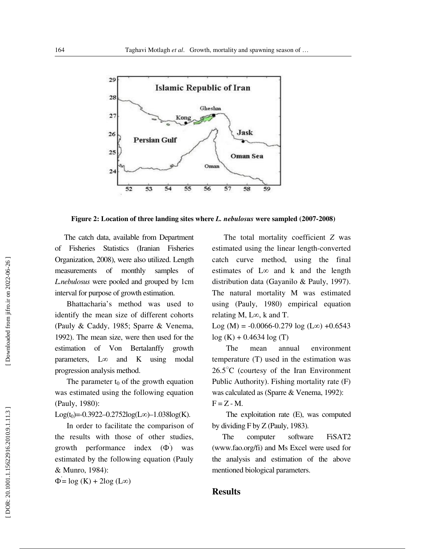

**Figure 2: Location of three landing sites where** *L. nebulosus* **were sampled (2007-2008)** 

The catch data, available from Department of Fisheries Statistics (Iranian Fisheries Organization, 2008), were also utilized. Length measurements of monthly samples of *L.nebulosus* were pooled and grouped by 1cm interval for purpose of growth estimation.

 Bhattacharia's method was used to identify the mean size of different cohorts (Pauly & Caddy, 1985; Sparre & Venema, 1992). The mean size, were then used for the estimation of Von Bertalanffy growth parameters, ∞ and K using modal progression analysis method.

The parameter  $t_0$  of the growth equation was estimated using the following equation (Pauly, 1980):

Log(t<sub>0</sub>)=-0.3922--0.2752log(L∞)-1.038log(K).

 In order to facilitate the comparison of the results with those of other studies, growth performance index  $(\Phi)$  was estimated by the following equation (Pauly & Munro, 1984):

 $\Phi = \log(K) + 2\log(L\infty)$ 

 The total mortality coefficient *Z* was estimated using the linear length-converted catch curve method, using the final estimates of L ∞ and k and the length distribution data (Gayanilo & Pauly, 1997). The natural mortality M was estimated using (Pauly, 1980) empirical equation relating M, L ∞, k and T.

Log (M) =  $-0.0066 - 0.279 \log(L\infty) + 0.6543$  $log(K) + 0.4634 log(T)$ 

The mean annual environment temperature (T) used in the estimation was 26.5 ○C (courtesy of the Iran Environment Public Authority). Fishing mortality rate (F) was calculated as (Sparre & Venema, 1992):  $F = Z - M$ .

The exploitation rate (E), was computed by dividing F by Z (Pauly, 1983).

 The computer software FiSAT2 (www.fao.org/fi) and Ms Excel were used for the analysis and estimation of the above mentioned biological parameters.

## **Results**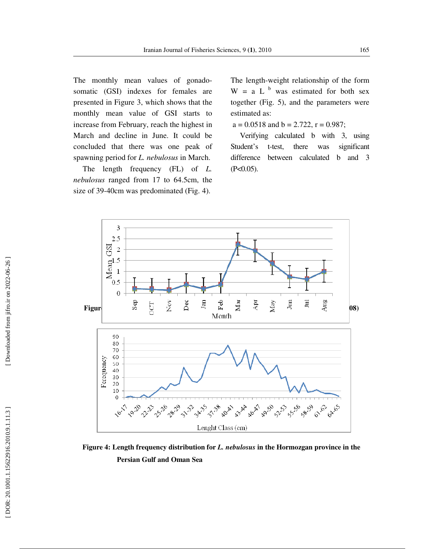The monthly mean values of gonadosomatic (GSI) indexes for females are presented in Figure 3, which shows that the monthly mean value of GSI starts to increase from February, reach the highest in March and decline in June. It could be concluded that there was one peak of spawning period for *L. nebulosus* in March.

The length frequency (FL) of *L. nebulosus* ranged from 17 to 64.5cm, the size of 39-40cm was predominated (Fig. 4).

The length-weight relationship of the form  $W = a L<sup>b</sup>$  was estimated for both sex together (Fig. 5), and the parameters were estimated as:

 $a = 0.0518$  and  $b = 2.722$ ,  $r = 0.987$ ;

Verifying calculated b with 3, using Student's t-test, there was significant difference between calculated b and 3  $(P<0.05)$ .



**Figure 4: Length frequency distribution for** *L. nebulosus* **in the Hormozgan province in the Persian Gulf and Oman Sea** 

Downloaded from jifro.ir on 2022-06-26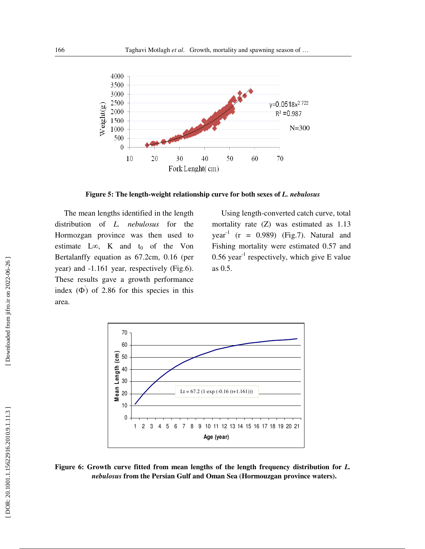

**Figure 5: The length-weight relationship curve for both sexes of** *L. nebulosus*

The mean lengths identified in the length distribution of *L. nebulosus* for the Hormozgan province was then used to estimate L $\infty$ , K and t<sub>0</sub> of the Von Bertalanffy equation as 67.2cm, 0.16 (per year) and -1.161 year, respectively (Fig.6). These results gave a growth performance index  $(\Phi)$  of 2.86 for this species in this area.

Using length-converted catch curve, total mortality rate (Z) was estimated as 1.13 year<sup>-1</sup> (r = 0.989) (Fig.7). Natural and Fishing mortality were estimated 0.57 and  $0.56$  year<sup>-1</sup> respectively, which give E value as 0.5.



Figure 6: Growth curve fitted from mean lengths of the length frequency distribution for *L*. *nebulosus* **from the Persian Gulf and Oman Sea (Hormouzgan province waters).**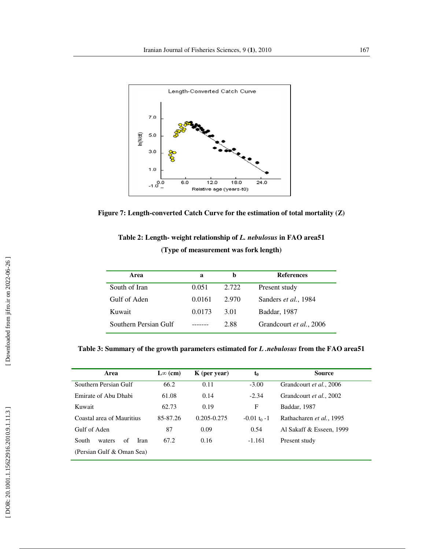



| Table 2: Length- weight relationship of L. nebulosus in FAO area51 |
|--------------------------------------------------------------------|
| (Type of measurement was fork length)                              |

| Area                  | a      |       | <b>References</b>       |
|-----------------------|--------|-------|-------------------------|
| South of Iran         | 0.051  | 2.722 | Present study           |
| Gulf of Aden          | 0.0161 | 2.970 | Sanders et al., 1984    |
| Kuwait                | 0.0173 | 3.01  | Baddar, 1987            |
| Southern Persian Gulf |        | 2.88  | Grandcourt et al., 2006 |

**Table 3: Summary of the growth parameters estimated for** *L .nebulosus* **from the FAO area51** 

| Area                          | $\mathbf{L}\infty$ (cm)<br>$K$ (per year) |                 | $t_0$          | <b>Source</b>            |
|-------------------------------|-------------------------------------------|-----------------|----------------|--------------------------|
| Southern Persian Gulf         | 66.2                                      | $-3.00$<br>0.11 |                | Grandcourt et al., 2006  |
| Emirate of Abu Dhabi          | 61.08                                     | 0.14            | $-2.34$        | Grandcourt et al., 2002  |
| Kuwait                        | 62.73                                     | 0.19            | F              | Baddar, 1987             |
| Coastal area of Mauritius     | 85-87.26                                  | $0.205 - 0.275$ | $-0.01 t_0 -1$ | Rathacharen et al., 1995 |
| Gulf of Aden                  | 87                                        | 0.09            | 0.54           | Al Sakaff & Esseen, 1999 |
| South<br>of<br>waters<br>Iran | 67.2                                      | 0.16            | $-1.161$       | Present study            |
| (Persian Gulf & Oman Sea)     |                                           |                 |                |                          |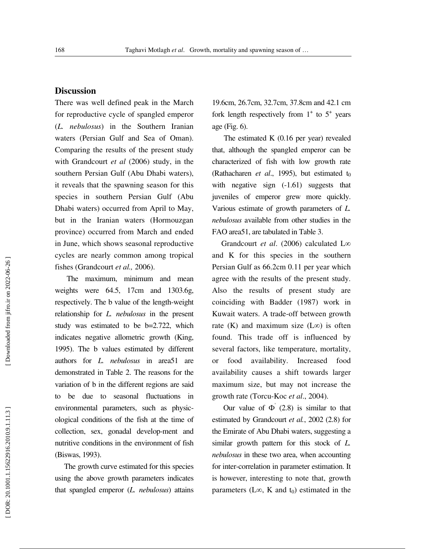#### **Discussion**

There was well defined peak in the March for reproductive cycle of spangled emperor (*L. nebulosus*) in the Southern Iranian waters (Persian Gulf and Sea of Oman). Comparing the results of the present study with Grandcourt *et al* (2006) study, in the southern Persian Gulf (Abu Dhabi waters), it reveals that the spawning season for this species in southern Persian Gulf (Abu Dhabi waters) occurred from April to May, but in the Iranian waters (Hormouzgan province) occurred from March and ended in June, which shows seasonal reproductive cycles are nearly common among tropical fishes (Grandcourt *et al.,* 2006).

 The maximum, minimum and mean weights were 64.5, 17cm and 1303.6g, respectively. The b value of the length-weight relationship for *L. nebulosus* in the present study was estimated to be b=2.722, which indicates negative allometric growth (King, 1995). The b values estimated by different authors for *L. nebulosus* in area51 are demonstrated in Table 2. The reasons for the variation of b in the different regions are said to be due to seasonal fluctuations in environmental parameters, such as physicological conditions of the fish at the time of collection, sex, gonadal develop-ment and nutritive conditions in the environment of fish (Biswas, 1993).

The growth curve estimated for this species using the above growth parameters indicates that spangled emperor (*L. nebulosus*) attains

19.6cm, 26.7cm, 32.7cm, 37.8cm and 42.1 cm fork length respectively from  $1^+$  to  $5^+$  years age (Fig. 6).

 The estimated K (0.16 per year) revealed that, although the spangled emperor can be characterized of fish with low growth rate (Rathacharen *et al.*, 1995), but estimated  $t_0$ with negative sign  $(-1.61)$  suggests that juveniles of emperor grew more quickly. Various estimate of growth parameters of *L. nebulosus* available from other studies in the FAO area51, are tabulated in Table 3.

Grandcourt *et al.* (2006) calculated L∞ and K for this species in the southern Persian Gulf as 66.2cm 0.11 per year which agree with the results of the present study. Also the results of present study are coinciding with Badder (1987) work in Kuwait waters. A trade-off between growth rate (K) and maximum size  $(L\infty)$  is often found. This trade off is influenced by several factors, like temperature, mortality, or food availability. Increased food availability causes a shift towards larger maximum size, but may not increase the growth rate (Torcu-Koc *et al*., 2004).

Our value of  $\Phi(2.8)$  is similar to that estimated by Grandcourt *et al.*, 2002 (2.8) for the Emirate of Abu Dhabi waters, suggesting a similar growth pattern for this stock of *L. nebulosus* in these two area, when accounting for inter-correlation in parameter estimation. It is however, interesting to note that, growth parameters ( $L\infty$ , K and  $t_0$ ) estimated in the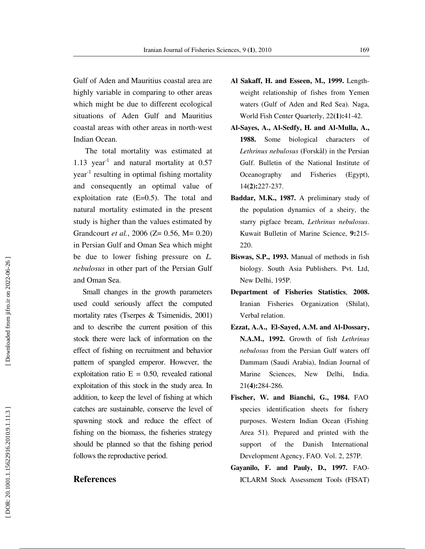Gulf of Aden and Mauritius coastal area are highly variable in comparing to other areas which might be due to different ecological situations of Aden Gulf and Mauritius coastal areas with other areas in north-west Indian Ocean.

 The total mortality was estimated at 1.13 year<sup>-1</sup> and natural mortality at  $0.57$  $year<sup>-1</sup>$  resulting in optimal fishing mortality and consequently an optimal value of exploitation rate (E=0.5). The total and natural mortality estimated in the present study is higher than the values estimated by Grandcourt *et al.*, 2006 (Z= 0.56, M= 0.20) in Persian Gulf and Oman Sea which might be due to lower fishing pressure on *L. nebulosus* in other part of the Persian Gulf and Oman Sea.

Small changes in the growth parameters used could seriously affect the computed mortality rates (Tserpes & Tsimenidis, 2001) and to describe the current position of this stock there were lack of information on the effect of fishing on recruitment and behavior pattern of spangled emperor. However, the exploitation ratio  $E = 0.50$ , revealed rational exploitation of this stock in the study area. In addition, to keep the level of fishing at which catches are sustainable, conserve the level of spawning stock and reduce the effect of fishing on the biomass, the fisheries strategy should be planned so that the fishing period follows the reproductive period.

#### **References**

- **Al Sakaff, H. and Esseen, M., 1999.** Lengthweight relationship of fishes from Yemen waters (Gulf of Aden and Red Sea). Naga, World Fish Center Quarterly, 22**(1):**41-42.
- **Al-Sayes, A., Al-Sedfy, H. and Al-Mulla, A., 1988.** Some biological characters of *Lethrinus nebulosus* (Forskål) in the Persian Gulf. Bulletin of the National Institute of Oceanography and Fisheries (Egypt), 14**(2):**227-237.
- **Baddar, M.K., 1987.** A preliminary study of the population dynamics of a sheiry, the starry pigface bream, *Lethrinus nebulosus*. Kuwait Bulletin of Marine Science, **9:**215- 220.
- **Biswas, S.P., 1993.** Manual of methods in fish biology. South Asia Publishers. Pvt. Ltd, New Delhi, 195P.
- **Department of Fisheries Statistics**, **2008.** Iranian Fisheries Organization (Shilat), Verbal relation.
- **Ezzat, A.A., El-Sayed, A.M. and Al-Dossary, N.A.M., 1992.** Growth of fish *Lethrinus nebulosus* from the Persian Gulf waters off Dammam (Saudi Arabia), Indian Journal of Marine Sciences, New Delhi, India. 21**(4):**284-286.
- **Fischer, W. and Bianchi, G., 1984.** FAO species identification sheets for fishery purposes. Western Indian Ocean (Fishing Area 51). Prepared and printed with the support of the Danish International Development Agency, FAO. Vol. 2, 257P.
- **Gayanilo, F. and Pauly, D., 1997.** FAO-ICLARM Stock Assessment Tools (FISAT)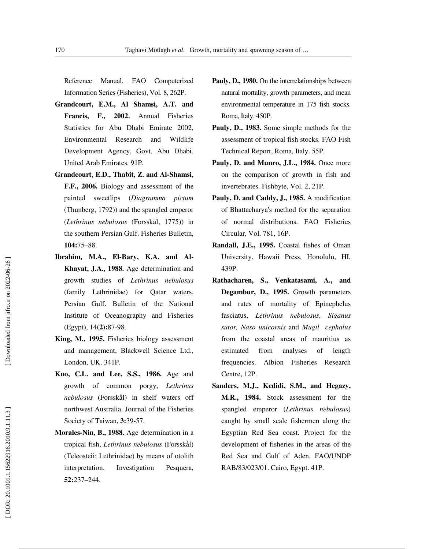Reference Manual. FAO Computerized Information Series (Fisheries), Vol. 8, 262P.

- **Grandcourt, E.M., Al Shamsi, A.T. and Francis, F., 2002.** Annual Fisheries Statistics for Abu Dhabi Emirate 2002, Environmental Research and Wildlife Development Agency, Govt. Abu Dhabi. United Arab Emirates. 91P.
- **Grandcourt, E.D., Thabit, Z. and Al-Shamsi, F.F., 2006.** Biology and assessment of the painted sweetlips (*Diagramma pictum*  (Thunberg, 1792)) and the spangled emperor (*Lethrinus nebulosus* (Forsskål, 1775)) in the southern Persian Gulf. Fisheries Bulletin, **104:**75–88.
- **Ibrahim, M.A., El-Bary, K.A. and Al-Khayat, J.A., 1988.** Age determination and growth studies of *Lethrinus nebulosus* (family Lethrinidae) for Qatar waters, Persian Gulf. Bulletin of the National Institute of Oceanography and Fisheries (Egypt), 14**(2):**87-98.
- **King, M., 1995.** Fisheries biology assessment and management, Blackwell Science Ltd., London, UK. 341P.
- **Kuo, C.L. and Lee, S.S., 1986.** Age and growth of common porgy, *Lethrinus nebulosus* (Forsskål) in shelf waters off northwest Australia. Journal of the Fisheries Society of Taiwan, **3:**39-57.
- **Morales-Nin, B., 1988.** Age determination in a tropical fish, *Lethrinus nebulosus* (Forsskål) (Teleosteii: Lethrinidae) by means of otolith interpretation. Investigation Pesquera, **52:**237–244.
- **Pauly, D., 1980.** On the interrelationships between natural mortality, growth parameters, and mean environmental temperature in 175 fish stocks. Roma, Italy. 450P.
- **Pauly, D., 1983.** Some simple methods for the assessment of tropical fish stocks. FAO Fish Technical Report, Roma, Italy. 55P.
- **Pauly, D. and Munro, J.L., 1984.** Once more on the comparison of growth in fish and invertebrates. Fishbyte, Vol. 2, 21P.
- **Pauly, D. and Caddy, J., 1985.** A modification of Bhattacharya's method for the separation of normal distributions. FAO Fisheries Circular, Vol. 781, 16P.
- **Randall, J.E., 1995.** Coastal fishes of Oman University. Hawaii Press, Honolulu, HI, 439P.
- **Rathacharen, S., Venkatasami, A., and Degambur, D., 1995.** Growth parameters and rates of mortality of Epinephelus fasciatus, *Lethrinus nebulosus*, *Siganus sutor, Naso unicornis* and *Mugil cephalus* from the coastal areas of mauritius as estimated from analyses of length frequencies. Albion Fisheries Research Centre, 12P.
- **Sanders, M.J., Kedidi, S.M., and Hegazy, M.R., 1984.** Stock assessment for the spangled emperor (*Lethrinus nebulosus*) caught by small scale fishermen along the Egyptian Red Sea coast. Project for the development of fisheries in the areas of the Red Sea and Gulf of Aden. FAO/UNDP RAB/83/023/01. Cairo, Egypt. 41P.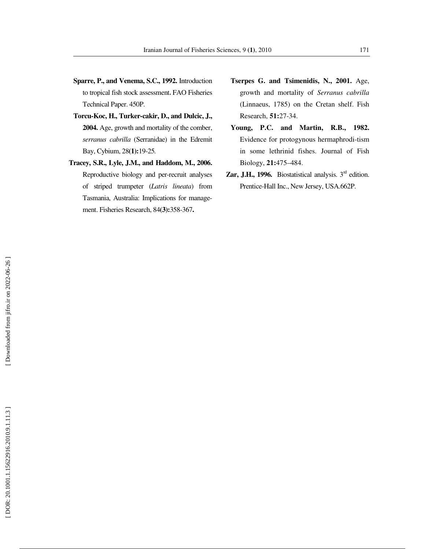- **Sparre, P., and Venema, S.C., 1992.** Introduction to tropical fish stock assessment , FAO Fisheries Technical Paper. 450P.
- **Torcu-Koc, H., Turker-cakir, D., and Dulcic, J., 2004.** Age, growth and mortality of the comber, *serranus cabrilla* (Serranidae) in the Edremit Bay, Cybium, 28**(1):**19-25 *.*
- **Tracey, S.R., Lyle, J.M., and Haddom, M., 2006.**  Reproductive biology and per-recruit analyses of striped trumpeter (*Latris lineata*) from Tasmania, Australia: Implications for management. Fisheries Research, 84**(3):**358-367**.**
- **Tserpes G. and Tsimenidis, N., 2001.** Age, growth and mortality of *Serranus cabrilla*  (Linnaeus, 1785) on the Cretan shelf. Fish Research, **51:**27-34.
- **Young, P.C. and Martin, R.B., 1982.** Evidence for protogynous hermaphrodi-tism in some lethrinid fishes. Journal of Fish Biology, **21:**475–484.
- **Zar, J.H., 1996.** Biostatistical analysis.  $3<sup>rd</sup>$  edition. Prentice-Hall Inc., New Jersey, USA.662P.